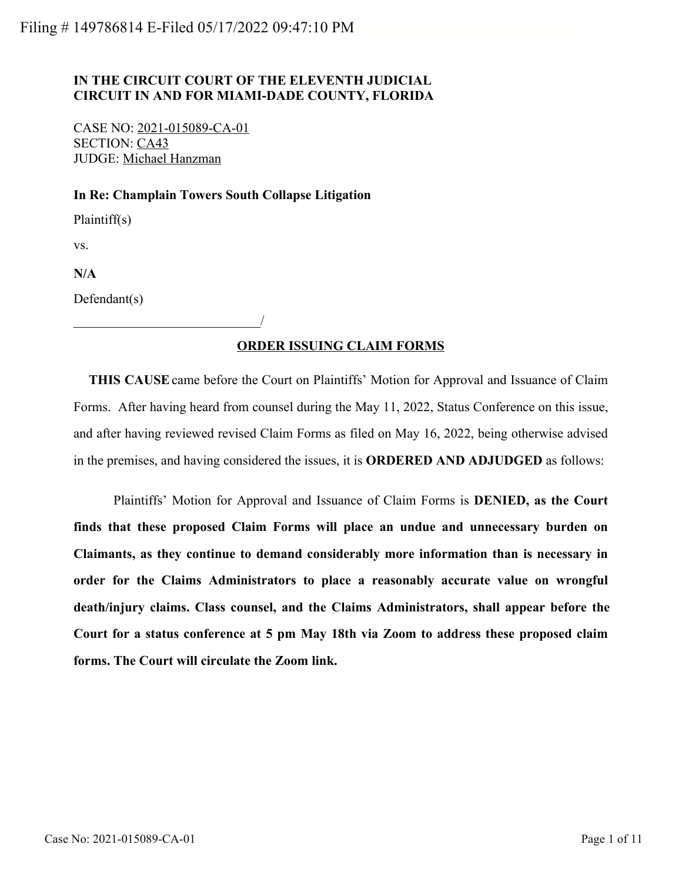## **IN THE CIRCUIT COURT OF THE ELEVENTH JUDICIAL CIRCUIT IN AND FOR MIAMI-DADE COUNTY, FLORIDA**

CASE NO: 2021-015089-CA-01 SECTION: CA43 JUDGE: Michael Hanzman

\_\_\_\_\_\_\_\_\_\_\_\_\_\_\_\_\_\_\_\_\_\_\_\_\_\_\_\_/

## **In Re: Champlain Towers South Collapse Litigation**

Plaintiff(s)

vs.

**N/A**

Defendant(s)

# **ORDER ISSUING CLAIM FORMS**

 **THIS CAUSE** came before the Court on Plaintiffs' Motion for Approval and Issuance of Claim Forms. After having heard from counsel during the May 11, 2022, Status Conference on this issue, and after having reviewed revised Claim Forms as filed on May 16, 2022, being otherwise advised in the premises, and having considered the issues, it is **ORDERED AND ADJUDGED** as follows:

Plaintiffs' Motion for Approval and Issuance of Claim Forms is **DENIED, as the Court finds that these proposed Claim Forms will place an undue and unnecessary burden on Claimants, as they continue to demand considerably more information than is necessary in order for the Claims Administrators to place a reasonably accurate value on wrongful death/injury claims. Class counsel, and the Claims Administrators, shall appear before the Court for a status conference at 5 pm May 18th via Zoom to address these proposed claim forms. The Court will circulate the Zoom link.**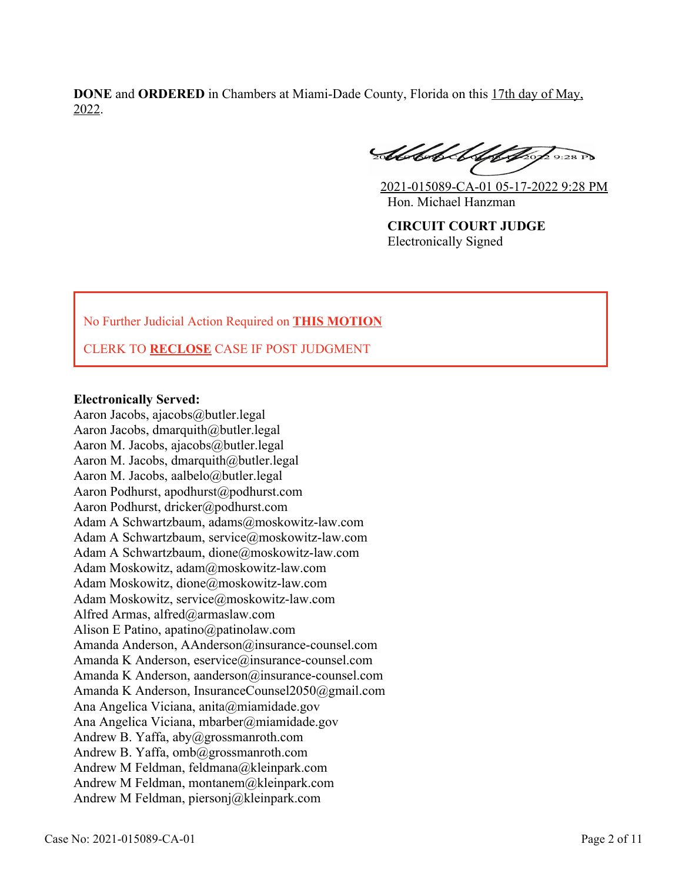**DONE** and **ORDERED** in Chambers at Miami-Dade County, Florida on this 17th day of May, 2022.

Abbel Alphage 9:28 P

2021-015089-CA-01 05-17-2022 9:28 PM Hon. Michael Hanzman

**CIRCUIT COURT JUDGE** Electronically Signed

No Further Judicial Action Required on **THIS MOTION**

CLERK TO **RECLOSE** CASE IF POST JUDGMENT

## **Electronically Served:**

Aaron Jacobs, ajacobs@butler.legal Aaron Jacobs, dmarquith@butler.legal Aaron M. Jacobs, ajacobs@butler.legal Aaron M. Jacobs, dmarquith@butler.legal Aaron M. Jacobs, aalbelo@butler.legal Aaron Podhurst, apodhurst@podhurst.com Aaron Podhurst, dricker@podhurst.com Adam A Schwartzbaum, adams@moskowitz-law.com Adam A Schwartzbaum, service@moskowitz-law.com Adam A Schwartzbaum, dione@moskowitz-law.com Adam Moskowitz, adam@moskowitz-law.com Adam Moskowitz, dione@moskowitz-law.com Adam Moskowitz, service@moskowitz-law.com Alfred Armas, alfred@armaslaw.com Alison E Patino, apatino@patinolaw.com Amanda Anderson, AAnderson@insurance-counsel.com Amanda K Anderson, eservice@insurance-counsel.com Amanda K Anderson, aanderson@insurance-counsel.com Amanda K Anderson, InsuranceCounsel2050@gmail.com Ana Angelica Viciana, anita@miamidade.gov Ana Angelica Viciana, mbarber@miamidade.gov Andrew B. Yaffa, aby@grossmanroth.com Andrew B. Yaffa, omb@grossmanroth.com Andrew M Feldman, feldmana@kleinpark.com Andrew M Feldman, montanem@kleinpark.com Andrew M Feldman, piersonj@kleinpark.com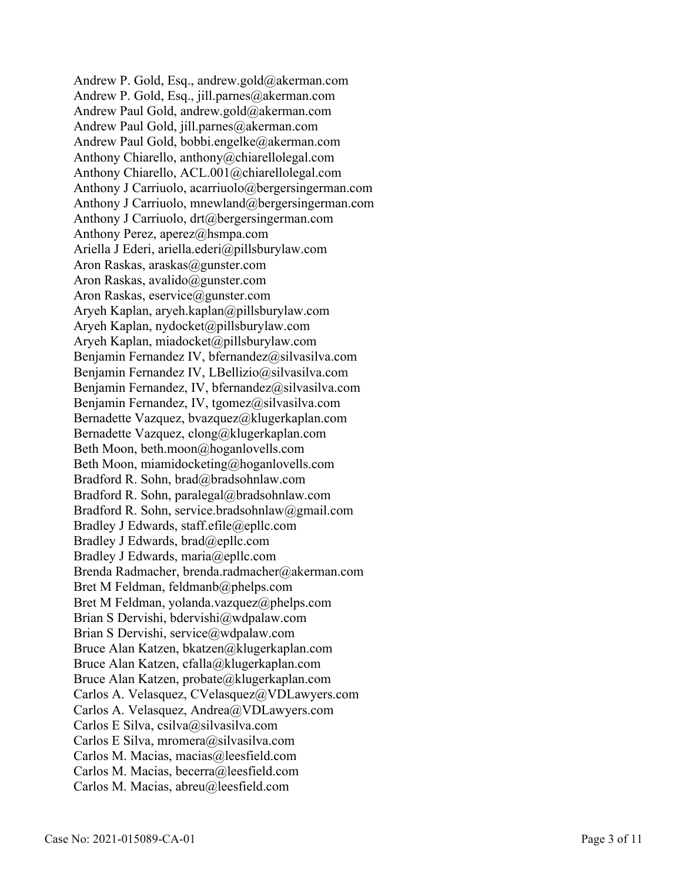Andrew P. Gold, Esq., andrew.gold@akerman.com Andrew P. Gold, Esq., jill.parnes@akerman.com Andrew Paul Gold, andrew.gold@akerman.com Andrew Paul Gold, jill.parnes@akerman.com Andrew Paul Gold, bobbi.engelke@akerman.com Anthony Chiarello, anthony@chiarellolegal.com Anthony Chiarello, ACL.001@chiarellolegal.com Anthony J Carriuolo, acarriuolo@bergersingerman.com Anthony J Carriuolo, mnewland@bergersingerman.com Anthony J Carriuolo, drt@bergersingerman.com Anthony Perez, aperez@hsmpa.com Ariella J Ederi, ariella.ederi@pillsburylaw.com Aron Raskas, araskas@gunster.com Aron Raskas, avalido@gunster.com Aron Raskas, eservice@gunster.com Aryeh Kaplan, aryeh.kaplan@pillsburylaw.com Aryeh Kaplan, nydocket@pillsburylaw.com Aryeh Kaplan, miadocket@pillsburylaw.com Benjamin Fernandez IV, bfernandez@silvasilva.com Benjamin Fernandez IV, LBellizio@silvasilva.com Benjamin Fernandez, IV, bfernandez@silvasilva.com Benjamin Fernandez, IV, tgomez@silvasilva.com Bernadette Vazquez, bvazquez@klugerkaplan.com Bernadette Vazquez, clong@klugerkaplan.com Beth Moon, beth.moon@hoganlovells.com Beth Moon, miamidocketing@hoganlovells.com Bradford R. Sohn, brad@bradsohnlaw.com Bradford R. Sohn, paralegal@bradsohnlaw.com Bradford R. Sohn, service.bradsohnlaw@gmail.com Bradley J Edwards, staff.efile@epllc.com Bradley J Edwards, brad@epllc.com Bradley J Edwards, maria@epllc.com Brenda Radmacher, brenda.radmacher@akerman.com Bret M Feldman, feldmanb@phelps.com Bret M Feldman, yolanda.vazquez@phelps.com Brian S Dervishi, bdervishi@wdpalaw.com Brian S Dervishi, service@wdpalaw.com Bruce Alan Katzen, bkatzen@klugerkaplan.com Bruce Alan Katzen, cfalla@klugerkaplan.com Bruce Alan Katzen, probate@klugerkaplan.com Carlos A. Velasquez, CVelasquez@VDLawyers.com Carlos A. Velasquez, Andrea@VDLawyers.com Carlos E Silva, csilva@silvasilva.com Carlos E Silva, mromera@silvasilva.com Carlos M. Macias, macias@leesfield.com Carlos M. Macias, becerra@leesfield.com Carlos M. Macias, abreu@leesfield.com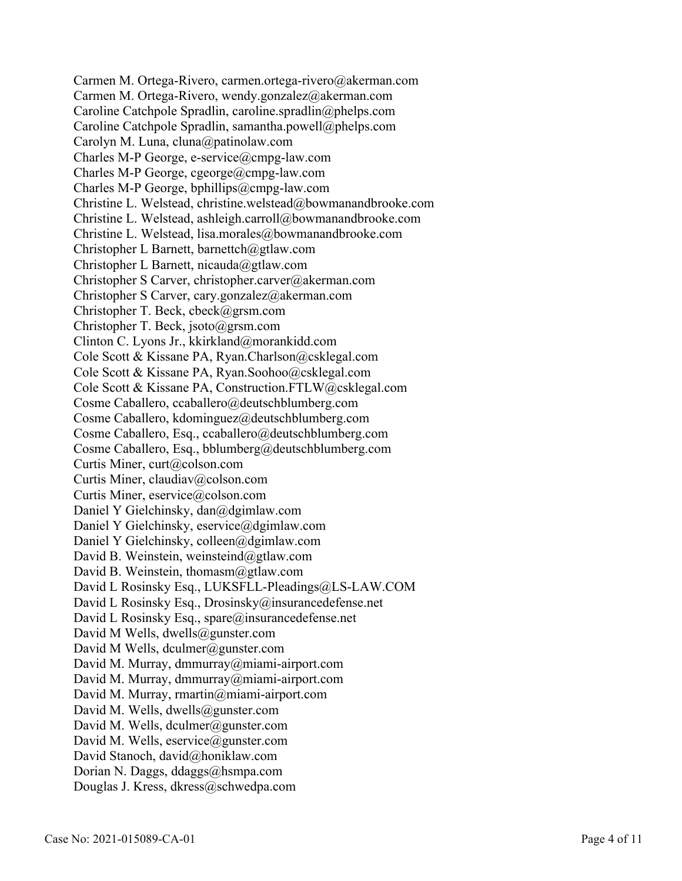Carmen M. Ortega-Rivero, carmen.ortega-rivero@akerman.com Carmen M. Ortega-Rivero, wendy.gonzalez@akerman.com Caroline Catchpole Spradlin, caroline.spradlin@phelps.com Caroline Catchpole Spradlin, samantha.powell@phelps.com Carolyn M. Luna, cluna@patinolaw.com Charles M-P George, e-service@cmpg-law.com Charles M-P George, cgeorge@cmpg-law.com Charles M-P George, bphillips@cmpg-law.com Christine L. Welstead, christine.welstead@bowmanandbrooke.com Christine L. Welstead, ashleigh.carroll@bowmanandbrooke.com Christine L. Welstead, lisa.morales@bowmanandbrooke.com Christopher L Barnett, barnettch@gtlaw.com Christopher L Barnett, nicauda@gtlaw.com Christopher S Carver, christopher.carver@akerman.com Christopher S Carver, cary.gonzalez@akerman.com Christopher T. Beck, cbeck@grsm.com Christopher T. Beck, jsoto@grsm.com Clinton C. Lyons Jr., kkirkland@morankidd.com Cole Scott & Kissane PA, Ryan.Charlson@csklegal.com Cole Scott & Kissane PA, Ryan.Soohoo@csklegal.com Cole Scott & Kissane PA, Construction.FTLW@csklegal.com Cosme Caballero, ccaballero@deutschblumberg.com Cosme Caballero, kdominguez@deutschblumberg.com Cosme Caballero, Esq., ccaballero@deutschblumberg.com Cosme Caballero, Esq., bblumberg@deutschblumberg.com Curtis Miner, curt@colson.com Curtis Miner, claudiav@colson.com Curtis Miner, eservice@colson.com Daniel Y Gielchinsky, dan@dgimlaw.com Daniel Y Gielchinsky, eservice@dgimlaw.com Daniel Y Gielchinsky, colleen@dgimlaw.com David B. Weinstein, weinsteind@gtlaw.com David B. Weinstein, thomasm@gtlaw.com David L Rosinsky Esq., LUKSFLL-Pleadings@LS-LAW.COM David L Rosinsky Esq., Drosinsky@insurancedefense.net David L Rosinsky Esq., spare@insurancedefense.net David M Wells, dwells@gunster.com David M Wells, dculmer@gunster.com David M. Murray, dmmurray@miami-airport.com David M. Murray, dmmurray@miami-airport.com David M. Murray, rmartin@miami-airport.com David M. Wells, dwells@gunster.com David M. Wells, dculmer@gunster.com David M. Wells, eservice@gunster.com David Stanoch, david@honiklaw.com Dorian N. Daggs, ddaggs@hsmpa.com Douglas J. Kress, dkress@schwedpa.com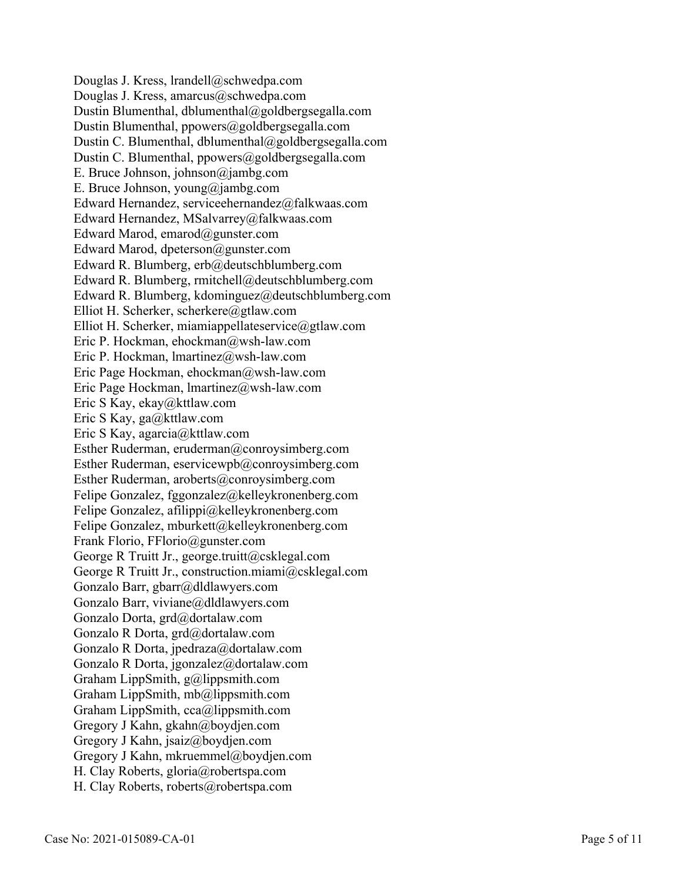Douglas J. Kress, lrandell@schwedpa.com Douglas J. Kress, amarcus@schwedpa.com Dustin Blumenthal, dblumenthal@goldbergsegalla.com Dustin Blumenthal, ppowers@goldbergsegalla.com Dustin C. Blumenthal, dblumenthal@goldbergsegalla.com Dustin C. Blumenthal, ppowers@goldbergsegalla.com E. Bruce Johnson, johnson@jambg.com E. Bruce Johnson, young@jambg.com Edward Hernandez, serviceehernandez@falkwaas.com Edward Hernandez, MSalvarrey@falkwaas.com Edward Marod, emarod@gunster.com Edward Marod, dpeterson@gunster.com Edward R. Blumberg, erb@deutschblumberg.com Edward R. Blumberg, rmitchell@deutschblumberg.com Edward R. Blumberg, kdominguez@deutschblumberg.com Elliot H. Scherker, scherkere@gtlaw.com Elliot H. Scherker, miamiappellateservice@gtlaw.com Eric P. Hockman, ehockman@wsh-law.com Eric P. Hockman, lmartinez@wsh-law.com Eric Page Hockman, ehockman@wsh-law.com Eric Page Hockman, lmartinez@wsh-law.com Eric S Kay, ekay@kttlaw.com Eric S Kay, ga@kttlaw.com Eric S Kay, agarcia@kttlaw.com Esther Ruderman, eruderman@conroysimberg.com Esther Ruderman, eservicewpb@conroysimberg.com Esther Ruderman, aroberts@conroysimberg.com Felipe Gonzalez, fggonzalez@kelleykronenberg.com Felipe Gonzalez, afilippi@kelleykronenberg.com Felipe Gonzalez, mburkett@kelleykronenberg.com Frank Florio, FFlorio@gunster.com George R Truitt Jr., george.truitt@csklegal.com George R Truitt Jr., construction.miami@csklegal.com Gonzalo Barr, gbarr@dldlawyers.com Gonzalo Barr, viviane@dldlawyers.com Gonzalo Dorta, grd@dortalaw.com Gonzalo R Dorta, grd@dortalaw.com Gonzalo R Dorta, jpedraza@dortalaw.com Gonzalo R Dorta, jgonzalez@dortalaw.com Graham LippSmith, g@lippsmith.com Graham LippSmith, mb@lippsmith.com Graham LippSmith, cca@lippsmith.com Gregory J Kahn, gkahn@boydjen.com Gregory J Kahn, jsaiz@boydjen.com Gregory J Kahn, mkruemmel@boydjen.com H. Clay Roberts, gloria@robertspa.com H. Clay Roberts, roberts@robertspa.com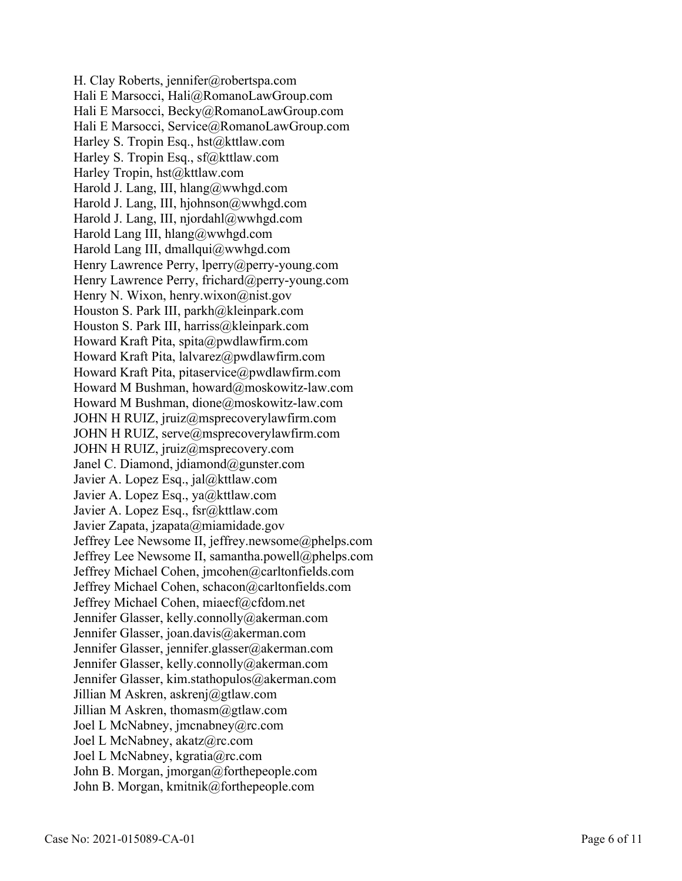H. Clay Roberts, jennifer@robertspa.com Hali E Marsocci, Hali@RomanoLawGroup.com Hali E Marsocci, Becky@RomanoLawGroup.com Hali E Marsocci, Service@RomanoLawGroup.com Harley S. Tropin Esq., hst@kttlaw.com Harley S. Tropin Esq., sf@kttlaw.com Harley Tropin, hst@kttlaw.com Harold J. Lang, III, hlang@wwhgd.com Harold J. Lang, III, hjohnson@wwhgd.com Harold J. Lang, III, njordahl@wwhgd.com Harold Lang III, hlang@wwhgd.com Harold Lang III, dmallqui@wwhgd.com Henry Lawrence Perry, lperry@perry-young.com Henry Lawrence Perry, frichard@perry-young.com Henry N. Wixon, henry.wixon@nist.gov Houston S. Park III, parkh@kleinpark.com Houston S. Park III, harriss@kleinpark.com Howard Kraft Pita, spita@pwdlawfirm.com Howard Kraft Pita, lalvarez@pwdlawfirm.com Howard Kraft Pita, pitaservice@pwdlawfirm.com Howard M Bushman, howard@moskowitz-law.com Howard M Bushman, dione@moskowitz-law.com JOHN H RUIZ, jruiz@msprecoverylawfirm.com JOHN H RUIZ, serve@msprecoverylawfirm.com JOHN H RUIZ, jruiz@msprecovery.com Janel C. Diamond, jdiamond@gunster.com Javier A. Lopez Esq., jal@kttlaw.com Javier A. Lopez Esq., ya@kttlaw.com Javier A. Lopez Esq., fsr@kttlaw.com Javier Zapata, jzapata@miamidade.gov Jeffrey Lee Newsome II, jeffrey.newsome@phelps.com Jeffrey Lee Newsome II, samantha.powell@phelps.com Jeffrey Michael Cohen, jmcohen@carltonfields.com Jeffrey Michael Cohen, schacon@carltonfields.com Jeffrey Michael Cohen, miaecf@cfdom.net Jennifer Glasser, kelly.connolly@akerman.com Jennifer Glasser, joan.davis@akerman.com Jennifer Glasser, jennifer.glasser@akerman.com Jennifer Glasser, kelly.connolly@akerman.com Jennifer Glasser, kim.stathopulos@akerman.com Jillian M Askren, askrenj@gtlaw.com Jillian M Askren, thomasm@gtlaw.com Joel L McNabney, jmcnabney@rc.com Joel L McNabney, akatz@rc.com Joel L McNabney, kgratia@rc.com John B. Morgan, jmorgan@forthepeople.com John B. Morgan, kmitnik@forthepeople.com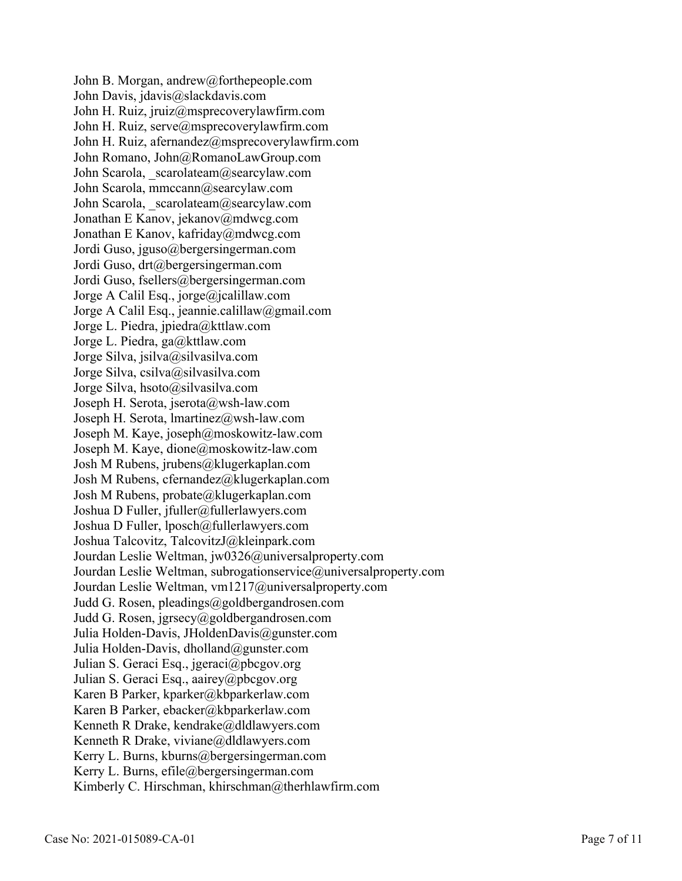John B. Morgan, andrew@forthepeople.com John Davis, jdavis@slackdavis.com John H. Ruiz, jruiz@msprecoverylawfirm.com John H. Ruiz, serve@msprecoverylawfirm.com John H. Ruiz, afernandez@msprecoverylawfirm.com John Romano, John@RomanoLawGroup.com John Scarola, scarolateam@searcylaw.com John Scarola, mmccann@searcylaw.com John Scarola, scarolateam@searcylaw.com Jonathan E Kanov, jekanov@mdwcg.com Jonathan E Kanov, kafriday@mdwcg.com Jordi Guso, jguso@bergersingerman.com Jordi Guso, drt@bergersingerman.com Jordi Guso, fsellers@bergersingerman.com Jorge A Calil Esq., jorge@jcalillaw.com Jorge A Calil Esq., jeannie.calillaw@gmail.com Jorge L. Piedra, jpiedra@kttlaw.com Jorge L. Piedra, ga@kttlaw.com Jorge Silva, jsilva@silvasilva.com Jorge Silva, csilva@silvasilva.com Jorge Silva, hsoto@silvasilva.com Joseph H. Serota, jserota@wsh-law.com Joseph H. Serota, lmartinez@wsh-law.com Joseph M. Kaye, joseph@moskowitz-law.com Joseph M. Kaye, dione@moskowitz-law.com Josh M Rubens, jrubens@klugerkaplan.com Josh M Rubens, cfernandez@klugerkaplan.com Josh M Rubens, probate@klugerkaplan.com Joshua D Fuller, jfuller@fullerlawyers.com Joshua D Fuller, lposch@fullerlawyers.com Joshua Talcovitz, TalcovitzJ@kleinpark.com Jourdan Leslie Weltman, jw0326@universalproperty.com Jourdan Leslie Weltman, subrogationservice@universalproperty.com Jourdan Leslie Weltman, vm1217@universalproperty.com Judd G. Rosen, pleadings@goldbergandrosen.com Judd G. Rosen, jgrsecy@goldbergandrosen.com Julia Holden-Davis, JHoldenDavis@gunster.com Julia Holden-Davis, dholland@gunster.com Julian S. Geraci Esq., jgeraci@pbcgov.org Julian S. Geraci Esq., aairey@pbcgov.org Karen B Parker, kparker@kbparkerlaw.com Karen B Parker, ebacker@kbparkerlaw.com Kenneth R Drake, kendrake@dldlawyers.com Kenneth R Drake, viviane@dldlawyers.com Kerry L. Burns, kburns@bergersingerman.com Kerry L. Burns, efile@bergersingerman.com Kimberly C. Hirschman, khirschman@therhlawfirm.com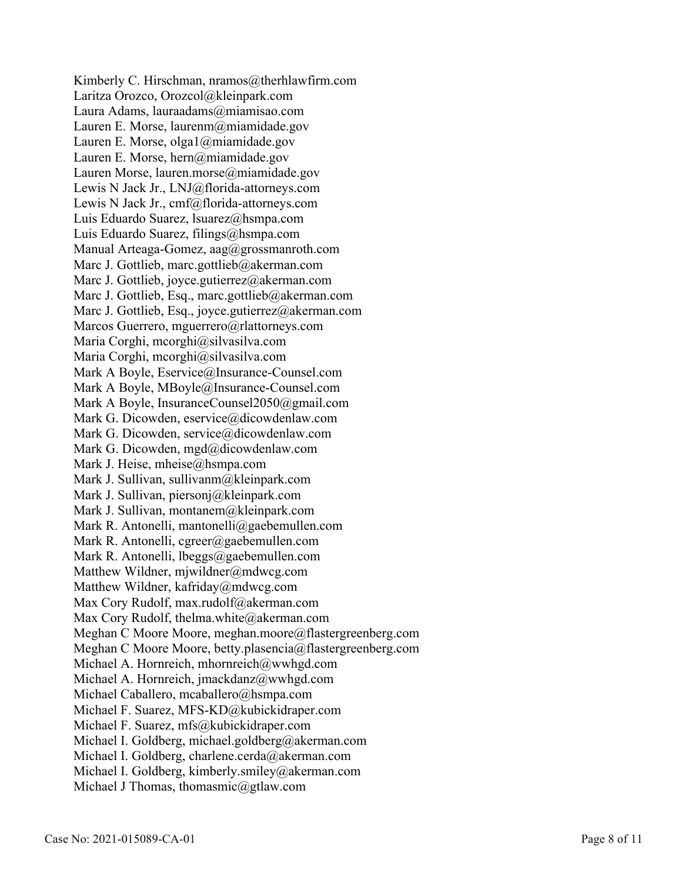Kimberly C. Hirschman, nramos@therhlawfirm.com Laritza Orozco, Orozcol@kleinpark.com Laura Adams, lauraadams@miamisao.com Lauren E. Morse, laurenm@miamidade.gov Lauren E. Morse, olga1@miamidade.gov Lauren E. Morse, hern@miamidade.gov Lauren Morse, lauren.morse@miamidade.gov Lewis N Jack Jr., LNJ@florida-attorneys.com Lewis N Jack Jr., cmf@florida-attorneys.com Luis Eduardo Suarez, lsuarez@hsmpa.com Luis Eduardo Suarez, filings@hsmpa.com Manual Arteaga-Gomez, aag@grossmanroth.com Marc J. Gottlieb, marc.gottlieb@akerman.com Marc J. Gottlieb, joyce.gutierrez@akerman.com Marc J. Gottlieb, Esq., marc.gottlieb@akerman.com Marc J. Gottlieb, Esq., joyce.gutierrez@akerman.com Marcos Guerrero, mguerrero@rlattorneys.com Maria Corghi, mcorghi@silvasilva.com Maria Corghi, mcorghi@silvasilva.com Mark A Boyle, Eservice@Insurance-Counsel.com Mark A Boyle, MBoyle@Insurance-Counsel.com Mark A Boyle, InsuranceCounsel2050@gmail.com Mark G. Dicowden, eservice@dicowdenlaw.com Mark G. Dicowden, service@dicowdenlaw.com Mark G. Dicowden, mgd@dicowdenlaw.com Mark J. Heise, mheise@hsmpa.com Mark J. Sullivan, sullivanm@kleinpark.com Mark J. Sullivan, piersonj@kleinpark.com Mark J. Sullivan, montanem@kleinpark.com Mark R. Antonelli, mantonelli@gaebemullen.com Mark R. Antonelli, cgreer@gaebemullen.com Mark R. Antonelli, lbeggs@gaebemullen.com Matthew Wildner, mjwildner@mdwcg.com Matthew Wildner, kafriday@mdwcg.com Max Cory Rudolf, max.rudolf@akerman.com Max Cory Rudolf, thelma.white@akerman.com Meghan C Moore Moore, meghan.moore@flastergreenberg.com Meghan C Moore Moore, betty.plasencia@flastergreenberg.com Michael A. Hornreich, mhornreich@wwhgd.com Michael A. Hornreich, jmackdanz@wwhgd.com Michael Caballero, mcaballero@hsmpa.com Michael F. Suarez, MFS-KD@kubickidraper.com Michael F. Suarez, mfs@kubickidraper.com Michael I. Goldberg, michael.goldberg@akerman.com Michael I. Goldberg, charlene.cerda@akerman.com Michael I. Goldberg, kimberly.smiley@akerman.com Michael J Thomas, thomasmic@gtlaw.com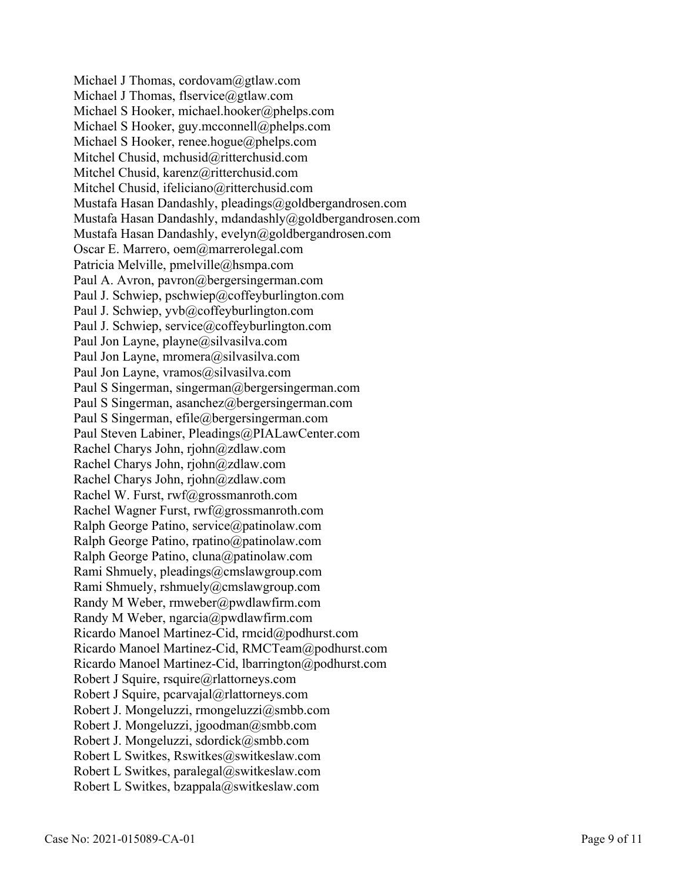Michael J Thomas, cordovam@gtlaw.com Michael J Thomas, flservice@gtlaw.com Michael S Hooker, michael.hooker@phelps.com Michael S Hooker, guy.mcconnell@phelps.com Michael S Hooker, renee.hogue@phelps.com Mitchel Chusid, mchusid@ritterchusid.com Mitchel Chusid, karenz@ritterchusid.com Mitchel Chusid, ifeliciano@ritterchusid.com Mustafa Hasan Dandashly, pleadings@goldbergandrosen.com Mustafa Hasan Dandashly, mdandashly@goldbergandrosen.com Mustafa Hasan Dandashly, evelyn@goldbergandrosen.com Oscar E. Marrero, oem@marrerolegal.com Patricia Melville, pmelville@hsmpa.com Paul A. Avron, pavron@bergersingerman.com Paul J. Schwiep, pschwiep@coffeyburlington.com Paul J. Schwiep, yvb@coffeyburlington.com Paul J. Schwiep, service@coffeyburlington.com Paul Jon Layne, playne@silvasilva.com Paul Jon Layne, mromera@silvasilva.com Paul Jon Layne, vramos@silvasilva.com Paul S Singerman, singerman@bergersingerman.com Paul S Singerman, asanchez@bergersingerman.com Paul S Singerman, efile@bergersingerman.com Paul Steven Labiner, Pleadings@PIALawCenter.com Rachel Charys John, rjohn@zdlaw.com Rachel Charys John, rjohn@zdlaw.com Rachel Charys John, rjohn@zdlaw.com Rachel W. Furst, rwf@grossmanroth.com Rachel Wagner Furst, rwf@grossmanroth.com Ralph George Patino, service@patinolaw.com Ralph George Patino, rpatino@patinolaw.com Ralph George Patino, cluna@patinolaw.com Rami Shmuely, pleadings@cmslawgroup.com Rami Shmuely, rshmuely@cmslawgroup.com Randy M Weber, rmweber@pwdlawfirm.com Randy M Weber, ngarcia@pwdlawfirm.com Ricardo Manoel Martinez-Cid, rmcid@podhurst.com Ricardo Manoel Martinez-Cid, RMCTeam@podhurst.com Ricardo Manoel Martinez-Cid, lbarrington@podhurst.com Robert J Squire, rsquire@rlattorneys.com Robert J Squire, pcarvajal@rlattorneys.com Robert J. Mongeluzzi, rmongeluzzi@smbb.com Robert J. Mongeluzzi, jgoodman@smbb.com Robert J. Mongeluzzi, sdordick@smbb.com Robert L Switkes, Rswitkes@switkeslaw.com Robert L Switkes, paralegal@switkeslaw.com Robert L Switkes, bzappala@switkeslaw.com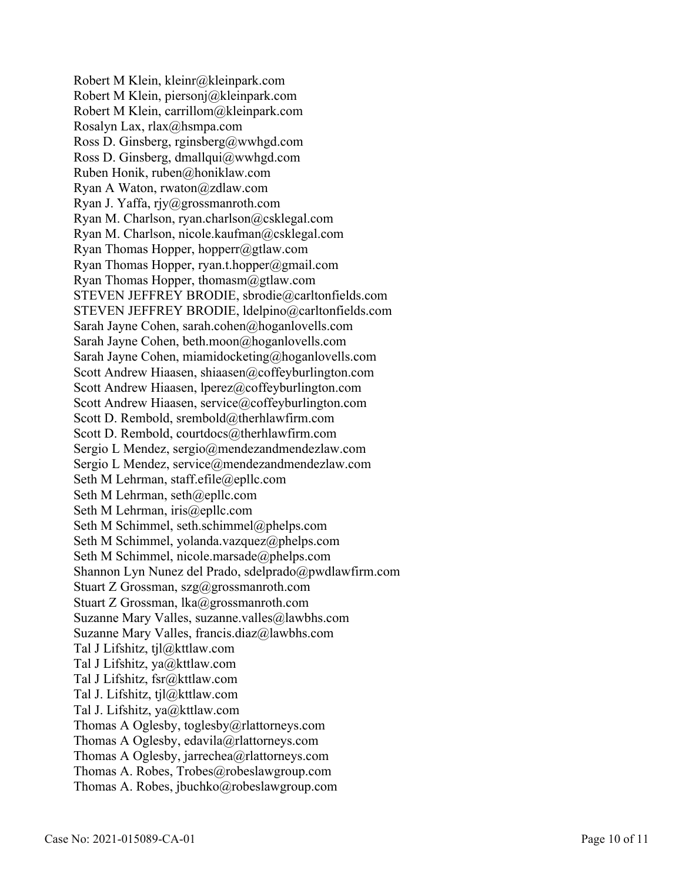Robert M Klein, kleinr@kleinpark.com Robert M Klein, piersonj@kleinpark.com Robert M Klein, carrillom@kleinpark.com Rosalyn Lax, rlax@hsmpa.com Ross D. Ginsberg, rginsberg@wwhgd.com Ross D. Ginsberg, dmallqui@wwhgd.com Ruben Honik, ruben@honiklaw.com Ryan A Waton, rwaton@zdlaw.com Ryan J. Yaffa, rjy@grossmanroth.com Ryan M. Charlson, ryan.charlson@csklegal.com Ryan M. Charlson, nicole.kaufman@csklegal.com Ryan Thomas Hopper, hopperr@gtlaw.com Ryan Thomas Hopper, ryan.t.hopper@gmail.com Ryan Thomas Hopper, thomasm@gtlaw.com STEVEN JEFFREY BRODIE, sbrodie@carltonfields.com STEVEN JEFFREY BRODIE, ldelpino@carltonfields.com Sarah Jayne Cohen, sarah.cohen@hoganlovells.com Sarah Jayne Cohen, beth.moon@hoganlovells.com Sarah Jayne Cohen, miamidocketing@hoganlovells.com Scott Andrew Hiaasen, shiaasen@coffeyburlington.com Scott Andrew Hiaasen, lperez@coffeyburlington.com Scott Andrew Hiaasen, service@coffeyburlington.com Scott D. Rembold, srembold@therhlawfirm.com Scott D. Rembold, courtdocs@therhlawfirm.com Sergio L Mendez, sergio@mendezandmendezlaw.com Sergio L Mendez, service@mendezandmendezlaw.com Seth M Lehrman, staff.efile@epllc.com Seth M Lehrman, seth@epllc.com Seth M Lehrman, iris@epllc.com Seth M Schimmel, seth.schimmel@phelps.com Seth M Schimmel, yolanda.vazquez@phelps.com Seth M Schimmel, nicole.marsade@phelps.com Shannon Lyn Nunez del Prado, sdelprado@pwdlawfirm.com Stuart Z Grossman, szg@grossmanroth.com Stuart Z Grossman, lka@grossmanroth.com Suzanne Mary Valles, suzanne.valles@lawbhs.com Suzanne Mary Valles, francis.diaz@lawbhs.com Tal J Lifshitz, tjl@kttlaw.com Tal J Lifshitz, ya@kttlaw.com Tal J Lifshitz, fsr@kttlaw.com Tal J. Lifshitz, tjl@kttlaw.com Tal J. Lifshitz, ya@kttlaw.com Thomas A Oglesby, toglesby@rlattorneys.com Thomas A Oglesby, edavila@rlattorneys.com Thomas A Oglesby, jarrechea@rlattorneys.com Thomas A. Robes, Trobes@robeslawgroup.com Thomas A. Robes, jbuchko@robeslawgroup.com